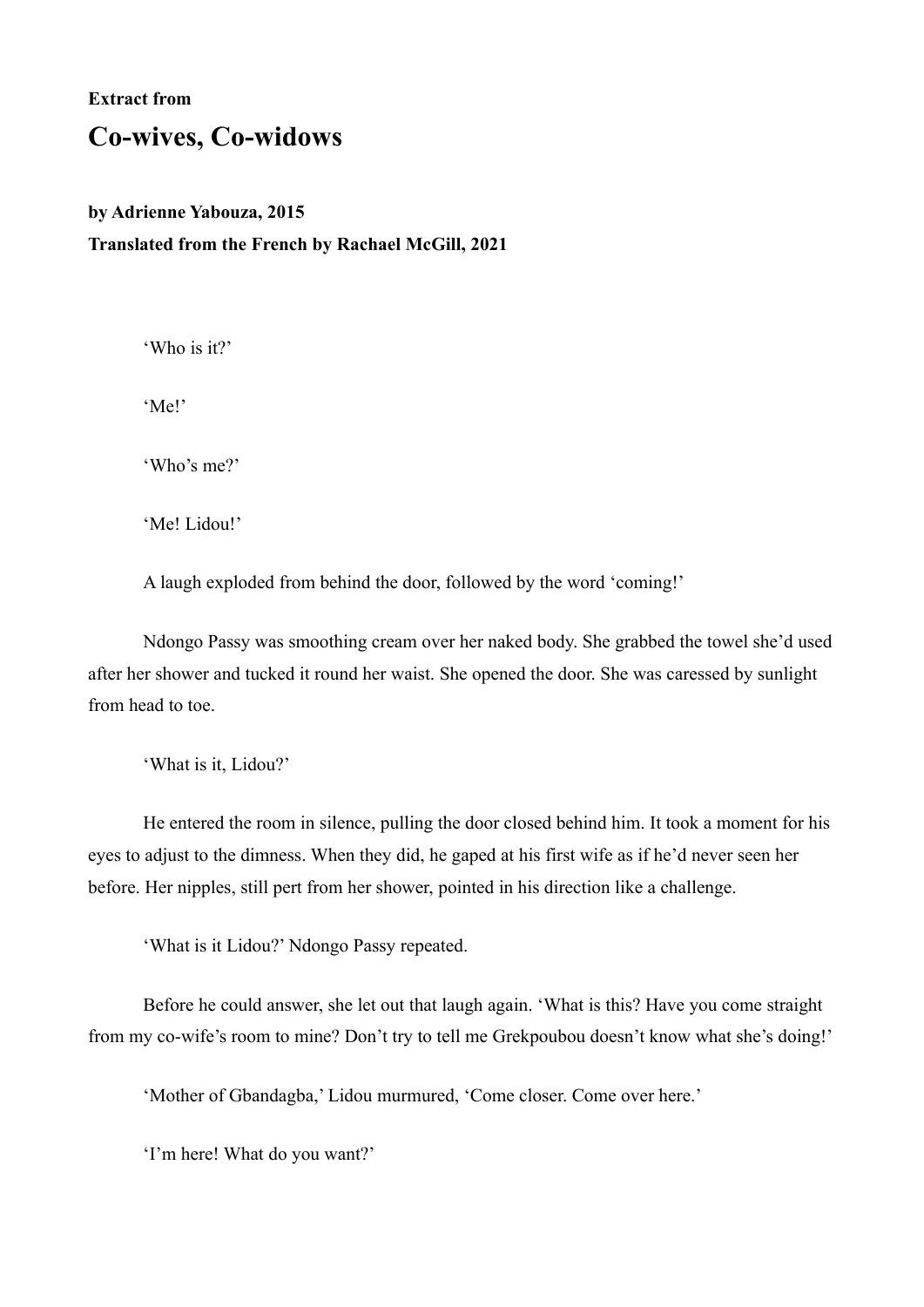## **Extract from**

## **Co-wives, Co-widows**

## **by Adrienne Yabouza, 2015 Translated from the French by Rachael McGill, 2021**

'Who is it?'

'Me!'

'Who's me?'

'Me! Lidou!'

A laugh exploded from behind the door, followed by the word 'coming!'

Ndongo Passy was smoothing cream over her naked body. She grabbed the towel she'd used after her shower and tucked it round her waist. She opened the door. She was caressed by sunlight from head to toe.

'What is it, Lidou?'

He entered the room in silence, pulling the door closed behind him. It took a moment for his eyes to adjust to the dimness. When they did, he gaped at his first wife as if he'd never seen her before. Her nipples, still pert from her shower, pointed in his direction like a challenge.

'What is it Lidou?' Ndongo Passy repeated.

Before he could answer, she let out that laugh again. 'What is this? Have you come straight from my co-wife's room to mine? Don't try to tell me Grekpoubou doesn't know what she's doing!'

'Mother of Gbandagba,' Lidou murmured, 'Come closer. Come over here.'

'I'm here! What do you want?'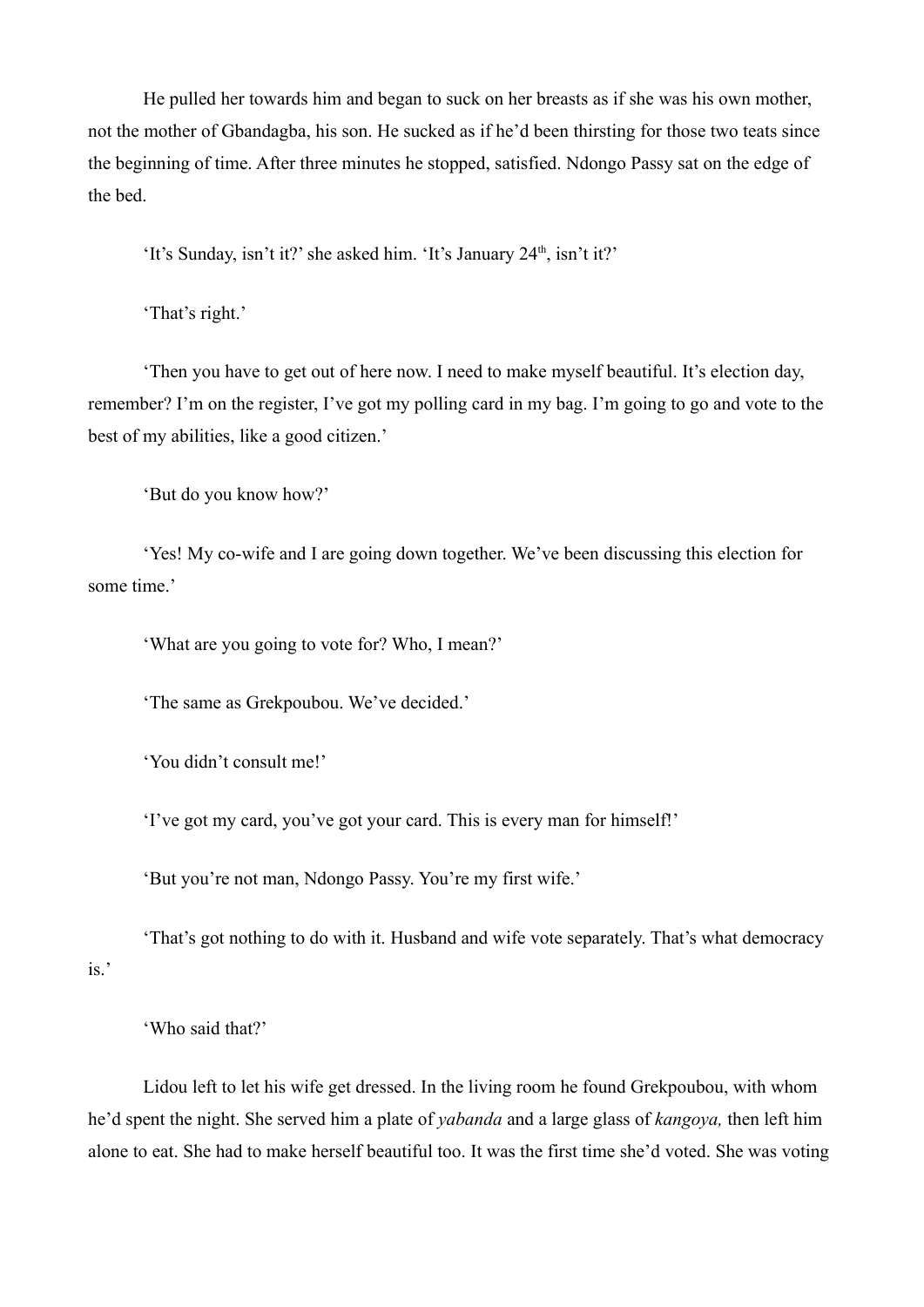He pulled her towards him and began to suck on her breasts as if she was his own mother, not the mother of Gbandagba, his son. He sucked as if he'd been thirsting for those two teats since the beginning of time. After three minutes he stopped, satisfied. Ndongo Passy sat on the edge of the bed.

'It's Sunday, isn't it?' she asked him. 'It's January  $24<sup>th</sup>$ , isn't it?'

'That's right.'

'Then you have to get out of here now. I need to make myself beautiful. It's election day, remember? I'm on the register, I've got my polling card in my bag. I'm going to go and vote to the best of my abilities, like a good citizen.'

'But do you know how?'

'Yes! My co-wife and I are going down together. We've been discussing this election for some time.'

'What are you going to vote for? Who, I mean?'

'The same as Grekpoubou. We've decided.'

'You didn't consult me!'

'I've got my card, you've got your card. This is every man for himself!'

'But you're not man, Ndongo Passy. You're my first wife.'

'That's got nothing to do with it. Husband and wife vote separately. That's what democracy is.'

'Who said that?'

Lidou left to let his wife get dressed. In the living room he found Grekpoubou, with whom he'd spent the night. She served him a plate of *yabanda* and a large glass of *kangoya,* then left him alone to eat. She had to make herself beautiful too. It was the first time she'd voted. She was voting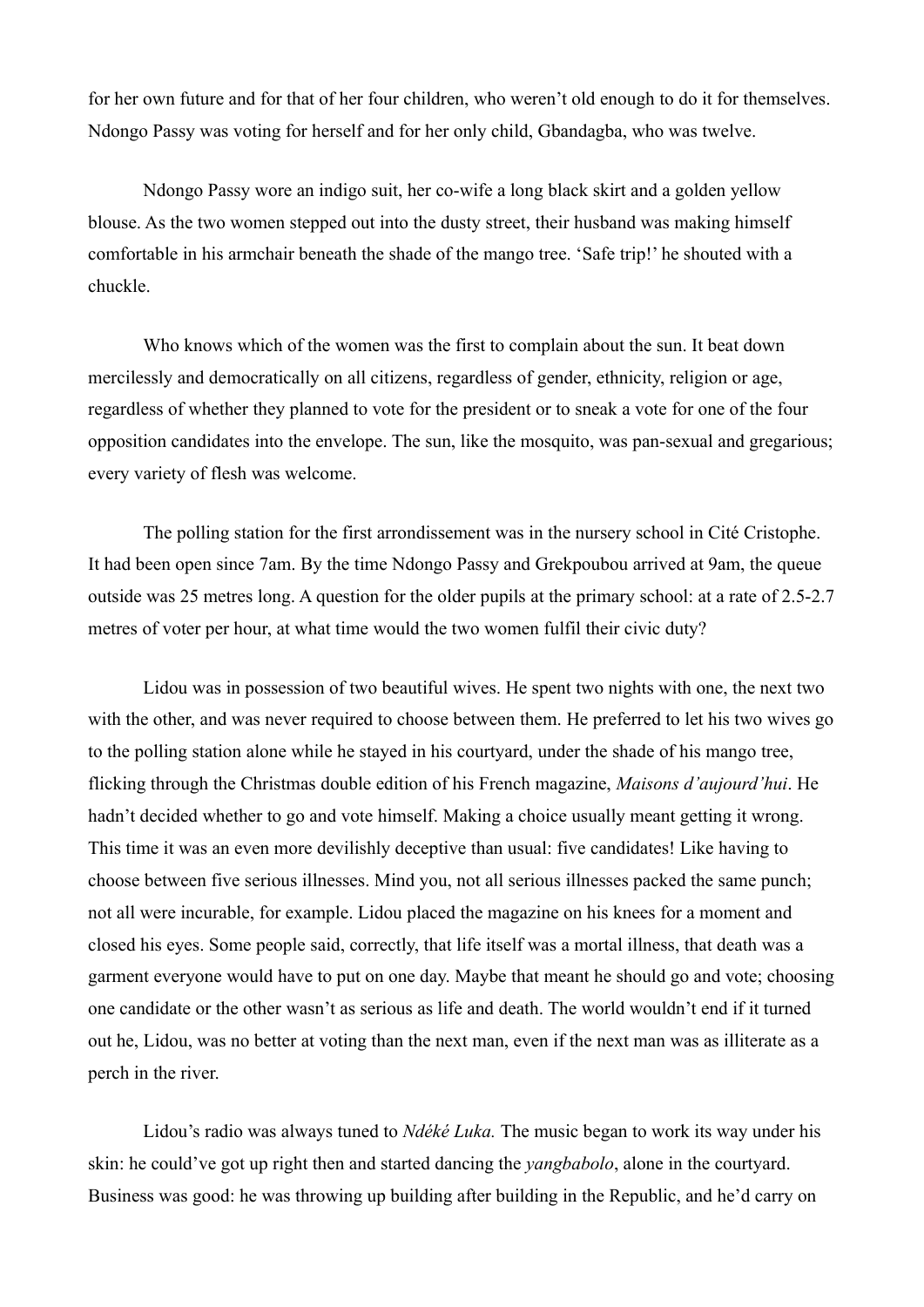for her own future and for that of her four children, who weren't old enough to do it for themselves. Ndongo Passy was voting for herself and for her only child, Gbandagba, who was twelve.

Ndongo Passy wore an indigo suit, her co-wife a long black skirt and a golden yellow blouse. As the two women stepped out into the dusty street, their husband was making himself comfortable in his armchair beneath the shade of the mango tree. 'Safe trip!' he shouted with a chuckle.

Who knows which of the women was the first to complain about the sun. It beat down mercilessly and democratically on all citizens, regardless of gender, ethnicity, religion or age, regardless of whether they planned to vote for the president or to sneak a vote for one of the four opposition candidates into the envelope. The sun, like the mosquito, was pan-sexual and gregarious; every variety of flesh was welcome.

The polling station for the first arrondissement was in the nursery school in Cité Cristophe. It had been open since 7am. By the time Ndongo Passy and Grekpoubou arrived at 9am, the queue outside was 25 metres long. A question for the older pupils at the primary school: at a rate of 2.5-2.7 metres of voter per hour, at what time would the two women fulfil their civic duty?

Lidou was in possession of two beautiful wives. He spent two nights with one, the next two with the other, and was never required to choose between them. He preferred to let his two wives go to the polling station alone while he stayed in his courtyard, under the shade of his mango tree, flicking through the Christmas double edition of his French magazine, *Maisons d'aujourd'hui*. He hadn't decided whether to go and vote himself. Making a choice usually meant getting it wrong. This time it was an even more devilishly deceptive than usual: five candidates! Like having to choose between five serious illnesses. Mind you, not all serious illnesses packed the same punch; not all were incurable, for example. Lidou placed the magazine on his knees for a moment and closed his eyes. Some people said, correctly, that life itself was a mortal illness, that death was a garment everyone would have to put on one day. Maybe that meant he should go and vote; choosing one candidate or the other wasn't as serious as life and death. The world wouldn't end if it turned out he, Lidou, was no better at voting than the next man, even if the next man was as illiterate as a perch in the river.

Lidou's radio was always tuned to *Ndéké Luka.* The music began to work its way under his skin: he could've got up right then and started dancing the *yangbabolo*, alone in the courtyard. Business was good: he was throwing up building after building in the Republic, and he'd carry on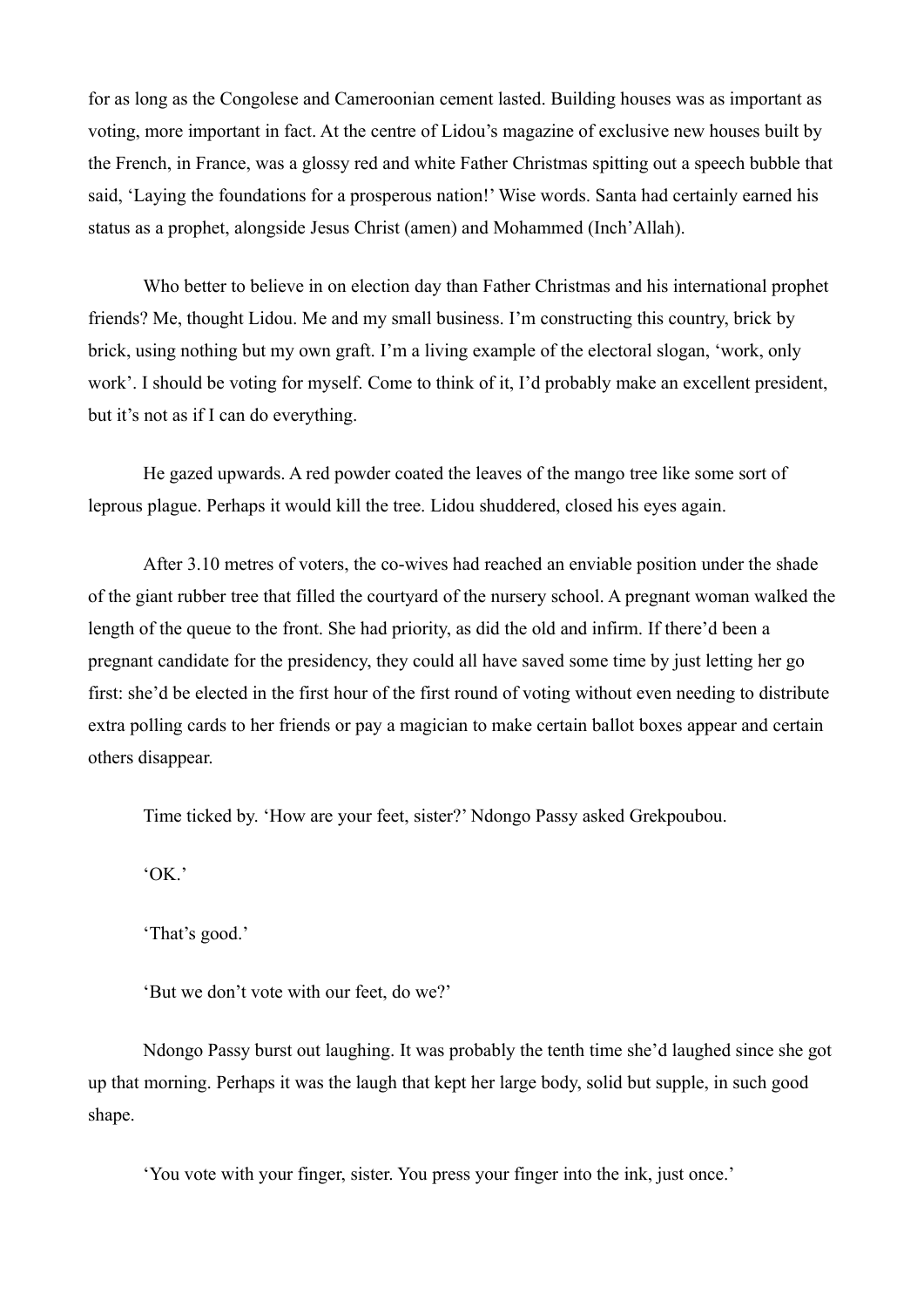for as long as the Congolese and Cameroonian cement lasted. Building houses was as important as voting, more important in fact. At the centre of Lidou's magazine of exclusive new houses built by the French, in France, was a glossy red and white Father Christmas spitting out a speech bubble that said, 'Laying the foundations for a prosperous nation!' Wise words. Santa had certainly earned his status as a prophet, alongside Jesus Christ (amen) and Mohammed (Inch'Allah).

Who better to believe in on election day than Father Christmas and his international prophet friends? Me, thought Lidou. Me and my small business. I'm constructing this country, brick by brick, using nothing but my own graft. I'm a living example of the electoral slogan, 'work, only work'. I should be voting for myself. Come to think of it, I'd probably make an excellent president, but it's not as if I can do everything.

He gazed upwards. A red powder coated the leaves of the mango tree like some sort of leprous plague. Perhaps it would kill the tree. Lidou shuddered, closed his eyes again.

After 3.10 metres of voters, the co-wives had reached an enviable position under the shade of the giant rubber tree that filled the courtyard of the nursery school. A pregnant woman walked the length of the queue to the front. She had priority, as did the old and infirm. If there'd been a pregnant candidate for the presidency, they could all have saved some time by just letting her go first: she'd be elected in the first hour of the first round of voting without even needing to distribute extra polling cards to her friends or pay a magician to make certain ballot boxes appear and certain others disappear.

Time ticked by. 'How are your feet, sister?' Ndongo Passy asked Grekpoubou.

'OK.'

'That's good.'

'But we don't vote with our feet, do we?'

Ndongo Passy burst out laughing. It was probably the tenth time she'd laughed since she got up that morning. Perhaps it was the laugh that kept her large body, solid but supple, in such good shape.

'You vote with your finger, sister. You press your finger into the ink, just once.'